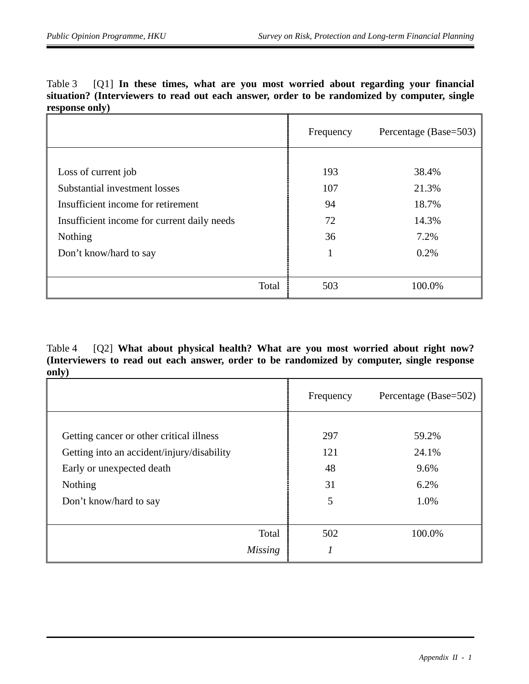| Table 3 [01] In these times, what are you most worried about regarding your financial |  |  |  |  |  |  |                                                                                              |
|---------------------------------------------------------------------------------------|--|--|--|--|--|--|----------------------------------------------------------------------------------------------|
|                                                                                       |  |  |  |  |  |  | situation? (Interviewers to read out each answer, order to be randomized by computer, single |
| response only)                                                                        |  |  |  |  |  |  |                                                                                              |
|                                                                                       |  |  |  |  |  |  |                                                                                              |

|                                             | Frequency | Percentage (Base=503) |
|---------------------------------------------|-----------|-----------------------|
|                                             |           |                       |
| Loss of current job                         | 193       | 38.4%                 |
| Substantial investment losses               | 107       | 21.3%                 |
| Insufficient income for retirement          | 94        | 18.7%                 |
| Insufficient income for current daily needs | 72        | 14.3%                 |
| Nothing                                     | 36        | 7.2%                  |
| Don't know/hard to say                      | 1         | 0.2%                  |
|                                             |           |                       |
| Total                                       | 503       | 100.0%                |

Table 4 [Q2] **What about physical health? What are you most worried about right now? (Interviewers to read out each answer, order to be randomized by computer, single response only)**

|                                                                                        | Frequency  | Percentage (Base=502) |
|----------------------------------------------------------------------------------------|------------|-----------------------|
| Getting cancer or other critical illness<br>Getting into an accident/injury/disability | 297<br>121 | 59.2%<br>24.1%        |
| Early or unexpected death<br>Nothing                                                   | 48<br>31   | 9.6%<br>6.2%          |
| Don't know/hard to say                                                                 | 5          | 1.0%                  |
| Total<br><i>Missing</i>                                                                | 502        | 100.0%                |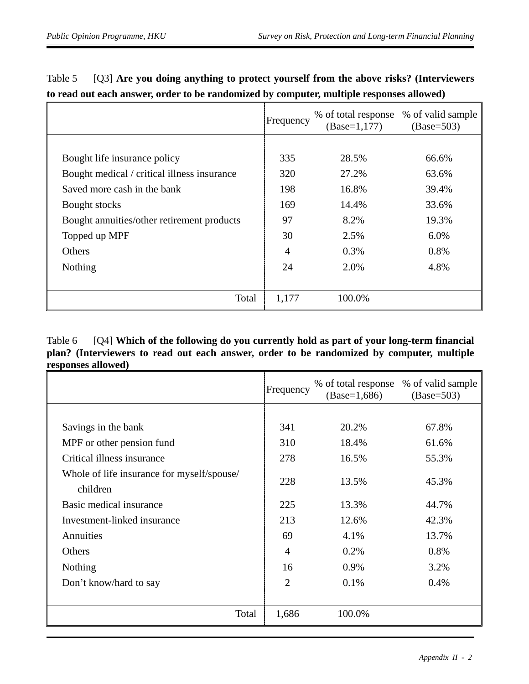|                                             | Frequency | % of total response<br>$(Base=1,177)$ | % of valid sample<br>$(Base=503)$ |
|---------------------------------------------|-----------|---------------------------------------|-----------------------------------|
|                                             |           |                                       |                                   |
| Bought life insurance policy                | 335       | 28.5%                                 | 66.6%                             |
| Bought medical / critical illness insurance | 320       | 27.2%                                 | 63.6%                             |
| Saved more cash in the bank                 | 198       | 16.8%                                 | 39.4%                             |
| Bought stocks                               | 169       | 14.4%                                 | 33.6%                             |
| Bought annuities/other retirement products  | 97        | 8.2%                                  | 19.3%                             |
| Topped up MPF                               | 30        | 2.5%                                  | 6.0%                              |
| Others                                      | 4         | 0.3%                                  | 0.8%                              |
| Nothing                                     | 24        | 2.0%                                  | 4.8%                              |
|                                             |           |                                       |                                   |
| Total                                       | 1,177     | 100.0%                                |                                   |

## Table 5 [Q3] **Are you doing anything to protect yourself from the above risks? (Interviewers to read out each answer, order to be randomized by computer, multiple responses allowed)**

## Table 6 [Q4] **Which of the following do you currently hold as part of your long-term financial plan? (Interviewers to read out each answer, order to be randomized by computer, multiple responses allowed)**

|                                                        | Frequency | % of total response<br>$(Base=1,686)$ | % of valid sample<br>$(Base=503)$ |
|--------------------------------------------------------|-----------|---------------------------------------|-----------------------------------|
|                                                        |           |                                       |                                   |
| Savings in the bank                                    | 341       | 20.2%                                 | 67.8%                             |
| MPF or other pension fund                              | 310       | 18.4%                                 | 61.6%                             |
| Critical illness insurance                             | 278       | 16.5%                                 | 55.3%                             |
| Whole of life insurance for myself/spouse/<br>children | 228       | 13.5%                                 | 45.3%                             |
| Basic medical insurance                                | 225       | 13.3%                                 | 44.7%                             |
| Investment-linked insurance                            | 213       | 12.6%                                 | 42.3%                             |
| Annuities                                              | 69        | 4.1%                                  | 13.7%                             |
| Others                                                 | 4         | 0.2%                                  | 0.8%                              |
| <b>Nothing</b>                                         | 16        | 0.9%                                  | 3.2%                              |
| Don't know/hard to say                                 | 2         | 0.1%                                  | 0.4%                              |
|                                                        |           |                                       |                                   |
| Total                                                  | 1,686     | 100.0%                                |                                   |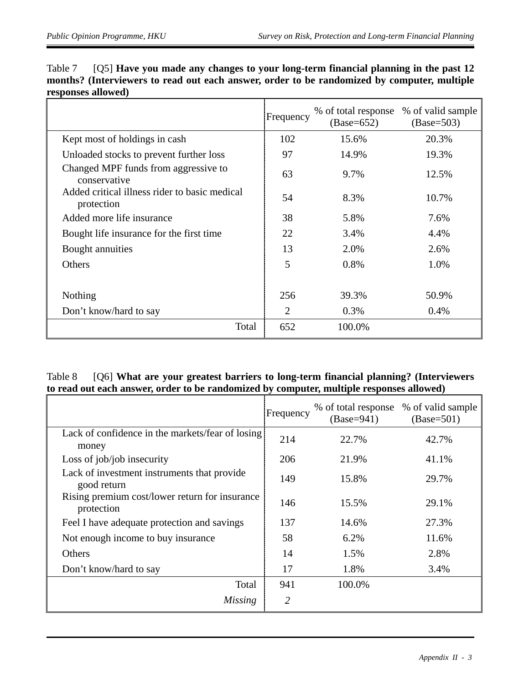|                                                             | Frequency | % of total response<br>$(Base=652)$ | % of valid sample<br>$(Base=503)$ |
|-------------------------------------------------------------|-----------|-------------------------------------|-----------------------------------|
| Kept most of holdings in cash                               | 102       | 15.6%                               | 20.3%                             |
| Unloaded stocks to prevent further loss                     | 97        | 14.9%                               | 19.3%                             |
| Changed MPF funds from aggressive to<br>conservative        | 63        | 9.7%                                | 12.5%                             |
| Added critical illness rider to basic medical<br>protection | 54        | 8.3%                                | 10.7%                             |
| Added more life insurance                                   | 38        | 5.8%                                | 7.6%                              |
| Bought life insurance for the first time                    | 22        | 3.4%                                | 4.4%                              |
| Bought annuities                                            | 13        | 2.0%                                | 2.6%                              |
| Others                                                      | 5         | 0.8%                                | 1.0%                              |
|                                                             |           |                                     |                                   |
| Nothing                                                     | 256       | 39.3%                               | 50.9%                             |
| Don't know/hard to say                                      | 2         | 0.3%                                | $0.4\%$                           |
| Total                                                       | 652       | 100.0%                              |                                   |

| Table 7 [Q5] Have you made any changes to your long-term financial planning in the past 12  |
|---------------------------------------------------------------------------------------------|
| months? (Interviewers to read out each answer, order to be randomized by computer, multiple |
| responses allowed)                                                                          |

## Table 8 [Q6] **What are your greatest barriers to long-term financial planning? (Interviewers to read out each answer, order to be randomized by computer, multiple responses allowed)**

|                                                              | Frequency | % of total response<br>$(Base=941)$ | % of valid sample<br>$(Base=501)$ |
|--------------------------------------------------------------|-----------|-------------------------------------|-----------------------------------|
| Lack of confidence in the markets/fear of losing<br>money    | 214       | 22.7%                               | 42.7%                             |
| Loss of job/job insecurity                                   | 206       | 21.9%                               | 41.1%                             |
| Lack of investment instruments that provide<br>good return   | 149       | 15.8%                               | 29.7%                             |
| Rising premium cost/lower return for insurance<br>protection | 146       | 15.5%                               | 29.1%                             |
| Feel I have adequate protection and savings                  | 137       | 14.6%                               | 27.3%                             |
| Not enough income to buy insurance                           | 58        | $6.2\%$                             | 11.6%                             |
| Others                                                       | 14        | 1.5%                                | 2.8%                              |
| Don't know/hard to say                                       | 17        | 1.8%                                | 3.4%                              |
| Total                                                        | 941       | 100.0%                              |                                   |
| Missing                                                      | 2         |                                     |                                   |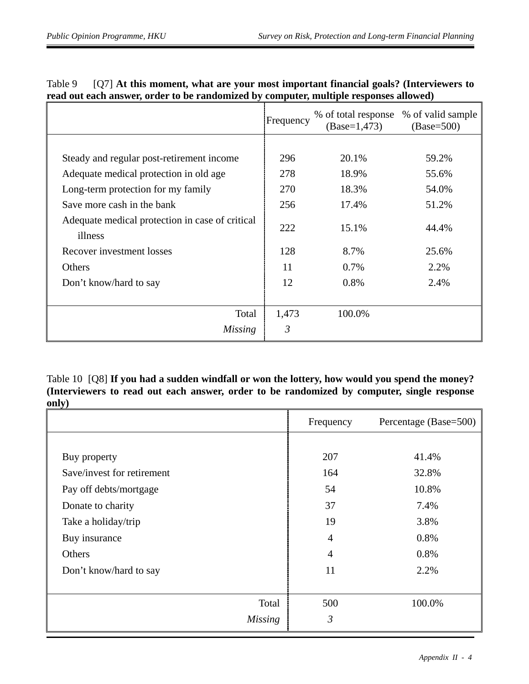|                                                            | Frequency | % of total response<br>$(Base=1,473)$ | % of valid sample<br>$(Base=500)$ |
|------------------------------------------------------------|-----------|---------------------------------------|-----------------------------------|
|                                                            |           |                                       |                                   |
| Steady and regular post-retirement income                  | 296       | 20.1%                                 | 59.2%                             |
| Adequate medical protection in old age.                    | 278       | 18.9%                                 | 55.6%                             |
| Long-term protection for my family                         | 270       | 18.3%                                 | 54.0%                             |
| Save more cash in the bank                                 | 256       | 17.4%                                 | 51.2%                             |
| Adequate medical protection in case of critical<br>illness | 222       | 15.1%                                 | 44.4%                             |
| Recover investment losses                                  | 128       | 8.7%                                  | 25.6%                             |
| Others                                                     | 11        | 0.7%                                  | 2.2%                              |
| Don't know/hard to say                                     | 12        | 0.8%                                  | 2.4%                              |
|                                                            |           |                                       |                                   |
| Total                                                      | 1,473     | 100.0%                                |                                   |
| Missing                                                    | 3         |                                       |                                   |

| Table 9 | [Q7] At this moment, what are your most important financial goals? (Interviewers to   |
|---------|---------------------------------------------------------------------------------------|
|         | read out each answer, order to be randomized by computer, multiple responses allowed) |

Table 10 [Q8] **If you had a sudden windfall or won the lottery, how would you spend the money? (Interviewers to read out each answer, order to be randomized by computer, single response only)**

|                            | Frequency      | Percentage (Base=500) |
|----------------------------|----------------|-----------------------|
|                            |                |                       |
| Buy property               | 207            | 41.4%                 |
| Save/invest for retirement | 164            | 32.8%                 |
| Pay off debts/mortgage     | 54             | 10.8%                 |
| Donate to charity          | 37             | 7.4%                  |
| Take a holiday/trip        | 19             | 3.8%                  |
| Buy insurance              | $\overline{4}$ | 0.8%                  |
| Others                     | $\overline{4}$ | 0.8%                  |
| Don't know/hard to say     | 11             | 2.2%                  |
|                            |                |                       |
| Total                      | 500            | 100.0%                |
| <b>Missing</b>             | $\mathfrak{Z}$ |                       |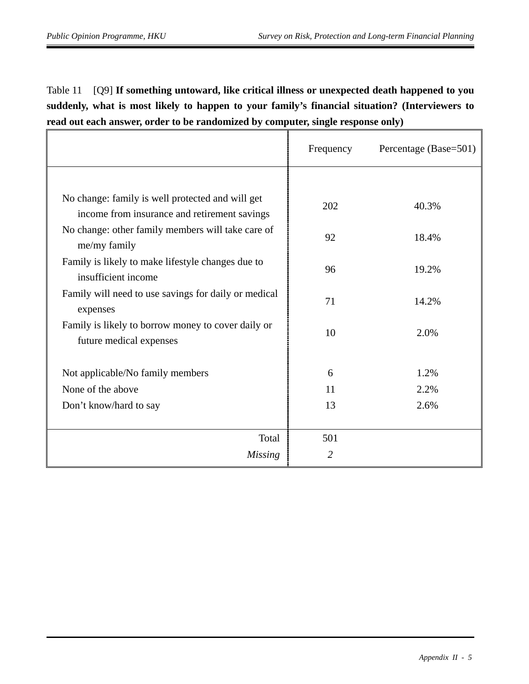Table 11 [Q9] **If something untoward, like critical illness or unexpected death happened to you suddenly, what is most likely to happen to your family's financial situation? (Interviewers to read out each answer, order to be randomized by computer, single response only)**

|                                                                                                  | Frequency | Percentage (Base=501) |
|--------------------------------------------------------------------------------------------------|-----------|-----------------------|
|                                                                                                  |           |                       |
| No change: family is well protected and will get<br>income from insurance and retirement savings | 202       | 40.3%                 |
| No change: other family members will take care of<br>me/my family                                | 92        | 18.4%                 |
| Family is likely to make lifestyle changes due to<br>insufficient income                         | 96        | 19.2%                 |
| Family will need to use savings for daily or medical<br>expenses                                 | 71        | 14.2%                 |
| Family is likely to borrow money to cover daily or<br>future medical expenses                    | 10        | 2.0%                  |
| Not applicable/No family members                                                                 | 6         | 1.2%                  |
| None of the above                                                                                | 11        | 2.2%                  |
| Don't know/hard to say                                                                           | 13        | 2.6%                  |
| Total                                                                                            | 501       |                       |
| <b>Missing</b>                                                                                   | 2         |                       |